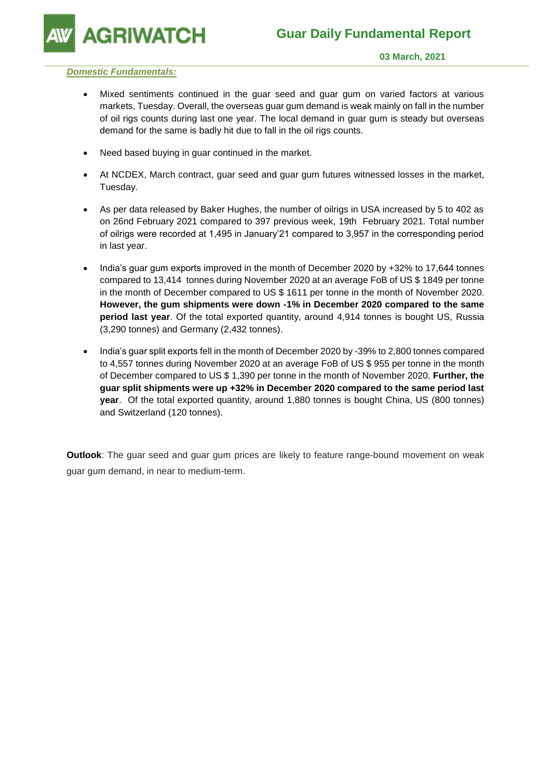**GRIWATCH** 

#### *Domestic Fundamentals:*

- Mixed sentiments continued in the guar seed and guar gum on varied factors at various markets, Tuesday. Overall, the overseas guar gum demand is weak mainly on fall in the number of oil rigs counts during last one year. The local demand in guar gum is steady but overseas demand for the same is badly hit due to fall in the oil rigs counts.
- Need based buying in guar continued in the market.
- At NCDEX, March contract, guar seed and guar gum futures witnessed losses in the market, Tuesday.
- As per data released by Baker Hughes, the number of oilrigs in USA increased by 5 to 402 as on 26nd February 2021 compared to 397 previous week, 19th February 2021. Total number of oilrigs were recorded at 1,495 in January'21 compared to 3,957 in the corresponding period in last year.
- India's guar gum exports improved in the month of December 2020 by +32% to 17,644 tonnes compared to 13,414 tonnes during November 2020 at an average FoB of US \$ 1849 per tonne in the month of December compared to US \$ 1611 per tonne in the month of November 2020. **However, the gum shipments were down -1% in December 2020 compared to the same period last year**. Of the total exported quantity, around 4,914 tonnes is bought US, Russia (3,290 tonnes) and Germany (2,432 tonnes).
- India's guar split exports fell in the month of December 2020 by -39% to 2,800 tonnes compared to 4,557 tonnes during November 2020 at an average FoB of US \$ 955 per tonne in the month of December compared to US \$ 1,390 per tonne in the month of November 2020. **Further, the guar split shipments were up +32% in December 2020 compared to the same period last year**. Of the total exported quantity, around 1,880 tonnes is bought China, US (800 tonnes) and Switzerland (120 tonnes).

**Outlook**: The guar seed and guar gum prices are likely to feature range-bound movement on weak guar gum demand, in near to medium-term.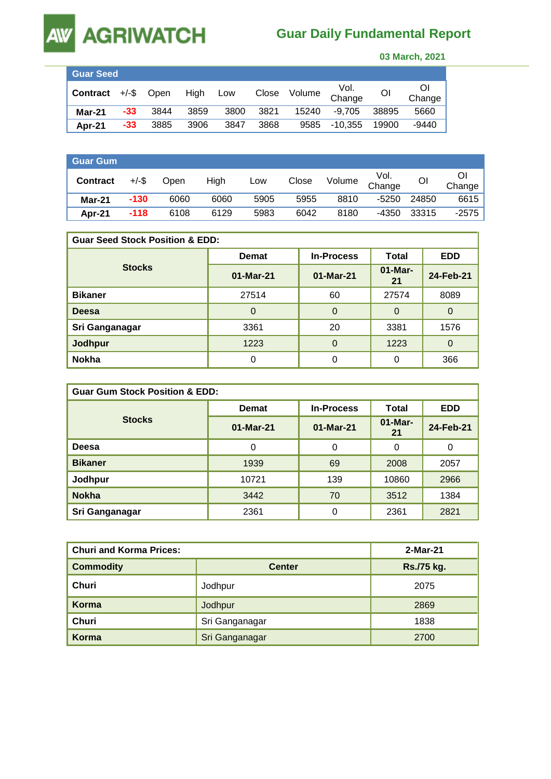# **AGRIWATCH**

## **Guar Daily Fundamental Report**

 **03 March, 2021** 

| <b>Guar Seed</b> |          |      |      |      |       |        |                |       |         |
|------------------|----------|------|------|------|-------|--------|----------------|-------|---------|
| Contract         | $+/-$ \$ | Open | High | Low  | Close | Volume | Vol.<br>Change | OI    | Change  |
| Mar-21           | $-33$    | 3844 | 3859 | 3800 | 3821  | 15240  | $-9.705$       | 38895 | 5660    |
| Apr-21           | $-33$    | 3885 | 3906 | 3847 | 3868  | 9585   | $-10.355$      | 19900 | $-9440$ |

| <b>Guar Gum</b> |          |      |      |      |       |        |                |       |         |
|-----------------|----------|------|------|------|-------|--------|----------------|-------|---------|
| <b>Contract</b> | $+/-$ \$ | Open | High | Low  | Close | Volume | Vol.<br>Change | OI    | Change  |
| Mar-21          | $-130$   | 6060 | 6060 | 5905 | 5955  | 8810   | $-5250$        | 24850 | 6615    |
| Apr-21          | $-118$   | 6108 | 6129 | 5983 | 6042  | 8180   | -4350          | 33315 | $-2575$ |

| <b>Guar Seed Stock Position &amp; EDD:</b> |              |                   |                 |            |  |  |  |
|--------------------------------------------|--------------|-------------------|-----------------|------------|--|--|--|
|                                            | <b>Demat</b> | <b>In-Process</b> | Total           | <b>EDD</b> |  |  |  |
| <b>Stocks</b>                              | 01-Mar-21    | 01-Mar-21         | $01-Mar-$<br>21 | 24-Feb-21  |  |  |  |
| <b>Bikaner</b>                             | 27514        | 60                | 27574           | 8089       |  |  |  |
| <b>Deesa</b>                               | $\Omega$     | $\Omega$          | $\Omega$        | 0          |  |  |  |
| Sri Ganganagar                             | 3361         | 20                | 3381            | 1576       |  |  |  |
| <b>Jodhpur</b>                             | 1223         | $\Omega$          | 1223            | $\Omega$   |  |  |  |
| <b>Nokha</b>                               | 0            | 0                 | 0               | 366        |  |  |  |

| <b>Guar Gum Stock Position &amp; EDD:</b> |              |                   |                 |            |  |  |  |
|-------------------------------------------|--------------|-------------------|-----------------|------------|--|--|--|
|                                           | <b>Demat</b> | <b>In-Process</b> | <b>Total</b>    | <b>EDD</b> |  |  |  |
| <b>Stocks</b>                             | 01-Mar-21    | 01-Mar-21         | $01-Mar-$<br>21 | 24-Feb-21  |  |  |  |
| Deesa                                     | 0            | 0                 | 0               | 0          |  |  |  |
| <b>Bikaner</b>                            | 1939         | 69                | 2008            | 2057       |  |  |  |
| Jodhpur                                   | 10721        | 139               | 10860           | 2966       |  |  |  |
| <b>Nokha</b>                              | 3442         | 70                | 3512            | 1384       |  |  |  |
| Sri Ganganagar                            | 2361         | 0                 | 2361            | 2821       |  |  |  |

| <b>Churi and Korma Prices:</b> | 2-Mar-21       |                   |
|--------------------------------|----------------|-------------------|
| <b>Commodity</b>               | <b>Center</b>  | <b>Rs./75 kg.</b> |
| Churi                          | Jodhpur        | 2075              |
| Korma                          | Jodhpur        | 2869              |
| Churi                          | Sri Ganganagar | 1838              |
| Korma                          | Sri Ganganagar | 2700              |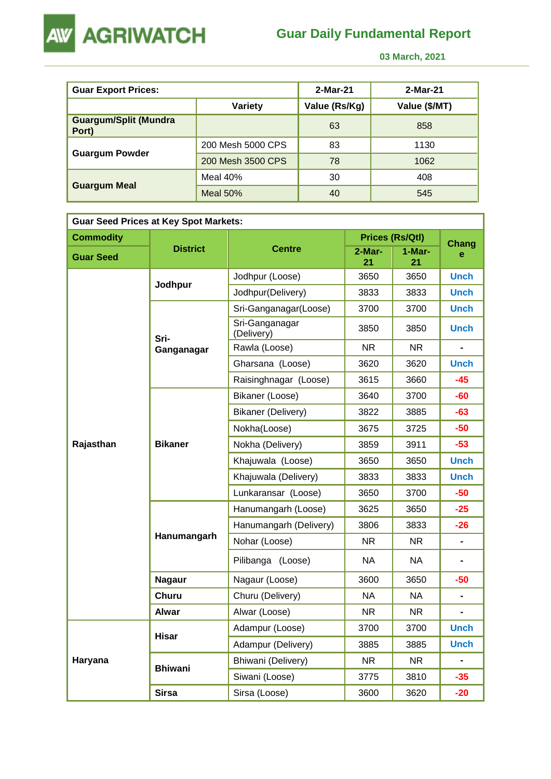



 **03 March, 2021** 

| <b>Guar Export Prices:</b>            |                   | 2-Mar-21      | 2-Mar-21      |
|---------------------------------------|-------------------|---------------|---------------|
|                                       | Variety           | Value (Rs/Kg) | Value (\$/MT) |
| <b>Guargum/Split (Mundra</b><br>Port) |                   | 63            | 858           |
|                                       | 200 Mesh 5000 CPS | 83            | 1130          |
| <b>Guargum Powder</b>                 | 200 Mesh 3500 CPS | 78            | 1062          |
|                                       | Meal 40%          | 30            | 408           |
| <b>Guargum Meal</b>                   | <b>Meal 50%</b>   | 40            | 545           |

| <b>Guar Seed Prices at Key Spot Markets:</b> |                 |                              |                |                 |                |  |  |
|----------------------------------------------|-----------------|------------------------------|----------------|-----------------|----------------|--|--|
| <b>Commodity</b>                             |                 |                              |                | Prices (Rs/Qtl) | Chang          |  |  |
| <b>Guar Seed</b>                             | <b>District</b> | <b>Centre</b>                | $2-Mar-$<br>21 | 1-Mar-<br>21    | e              |  |  |
|                                              | Jodhpur         | Jodhpur (Loose)              | 3650           | 3650            | Unch           |  |  |
|                                              |                 | Jodhpur(Delivery)            | 3833           | 3833            | <b>Unch</b>    |  |  |
|                                              |                 | Sri-Ganganagar(Loose)        | 3700           | 3700            | <b>Unch</b>    |  |  |
|                                              | Sri-            | Sri-Ganganagar<br>(Delivery) | 3850           | 3850            | <b>Unch</b>    |  |  |
|                                              | Ganganagar      | Rawla (Loose)                | <b>NR</b>      | NR.             | $\blacksquare$ |  |  |
|                                              |                 | Gharsana (Loose)             | 3620           | 3620            | <b>Unch</b>    |  |  |
|                                              |                 | Raisinghnagar (Loose)        | 3615           | 3660            | -45            |  |  |
|                                              | <b>Bikaner</b>  | Bikaner (Loose)              | 3640           | 3700            | -60            |  |  |
|                                              |                 | Bikaner (Delivery)           | 3822           | 3885            | $-63$          |  |  |
|                                              |                 | Nokha(Loose)                 | 3675           | 3725            | $-50$          |  |  |
| Rajasthan                                    |                 | Nokha (Delivery)             | 3859           | 3911            | $-53$          |  |  |
|                                              |                 | Khajuwala (Loose)            | 3650           | 3650            | Unch           |  |  |
|                                              |                 | Khajuwala (Delivery)         | 3833           | 3833            | <b>Unch</b>    |  |  |
|                                              |                 | Lunkaransar (Loose)          | 3650           | 3700            | $-50$          |  |  |
|                                              |                 | Hanumangarh (Loose)          | 3625           | 3650            | $-25$          |  |  |
|                                              |                 | Hanumangarh (Delivery)       | 3806           | 3833            | $-26$          |  |  |
|                                              | Hanumangarh     | Nohar (Loose)                | NR.            | NR.             | $\blacksquare$ |  |  |
|                                              |                 | Pilibanga (Loose)            | NA.            | <b>NA</b>       |                |  |  |
|                                              | <b>Nagaur</b>   | Nagaur (Loose)               | 3600           | 3650            | -50            |  |  |
|                                              | <b>Churu</b>    | Churu (Delivery)             | <b>NA</b>      | NA              | $\blacksquare$ |  |  |
|                                              | Alwar           | Alwar (Loose)                | NR.            | NR.             |                |  |  |
|                                              | Hisar           | Adampur (Loose)              | 3700           | 3700            | <b>Unch</b>    |  |  |
|                                              |                 | Adampur (Delivery)           | 3885           | 3885            | <b>Unch</b>    |  |  |
| Haryana                                      | <b>Bhiwani</b>  | Bhiwani (Delivery)           | <b>NR</b>      | NR.             |                |  |  |
|                                              |                 | Siwani (Loose)               | 3775           | 3810            | $-35$          |  |  |
|                                              | <b>Sirsa</b>    | Sirsa (Loose)                | 3600           | 3620            | $-20$          |  |  |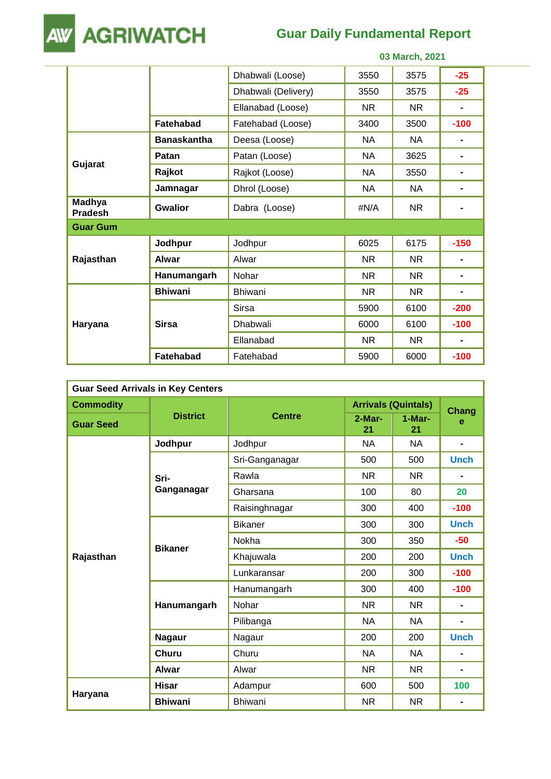

## **Guar Daily Fundamental Report**

 **03 March, 2021** 

|                                 |                    | Dhabwali (Loose)    | 3550      | 3575      | $-25$          |
|---------------------------------|--------------------|---------------------|-----------|-----------|----------------|
|                                 |                    | Dhabwali (Delivery) | 3550      | 3575      | $-25$          |
|                                 |                    | Ellanabad (Loose)   | <b>NR</b> | <b>NR</b> | $\blacksquare$ |
|                                 | <b>Fatehabad</b>   | Fatehabad (Loose)   | 3400      | 3500      | $-100$         |
|                                 | <b>Banaskantha</b> | Deesa (Loose)       | <b>NA</b> | <b>NA</b> |                |
|                                 | Patan              | Patan (Loose)       | <b>NA</b> | 3625      | $\blacksquare$ |
| Gujarat                         | Rajkot             | Rajkot (Loose)      | <b>NA</b> | 3550      |                |
|                                 | Jamnagar           | Dhrol (Loose)       | <b>NA</b> | <b>NA</b> | $\blacksquare$ |
| <b>Madhya</b><br><b>Pradesh</b> | <b>Gwalior</b>     | Dabra (Loose)       | #N/A      | <b>NR</b> |                |
| <b>Guar Gum</b>                 |                    |                     |           |           |                |
|                                 | Jodhpur            | Jodhpur             | 6025      | 6175      | $-150$         |
| Rajasthan                       | <b>Alwar</b>       | Alwar               | NR.       | NR.       | $\blacksquare$ |
|                                 | Hanumangarh        | Nohar               | NR.       | NR.       | $\blacksquare$ |
|                                 | <b>Bhiwani</b>     | <b>Bhiwani</b>      | <b>NR</b> | <b>NR</b> | $\blacksquare$ |
|                                 |                    | <b>Sirsa</b>        | 5900      | 6100      | $-200$         |
| Haryana                         | <b>Sirsa</b>       | <b>Dhabwali</b>     | 6000      | 6100      | $-100$         |
|                                 |                    | Ellanabad           | NR.       | NR.       | $\blacksquare$ |
|                                 | <b>Fatehabad</b>   | Fatehabad           | 5900      | 6000      | $-100$         |

| <b>Guar Seed Arrivals in Key Centers</b> |                 |                |                            |                |                |  |  |
|------------------------------------------|-----------------|----------------|----------------------------|----------------|----------------|--|--|
| <b>Commodity</b>                         |                 |                | <b>Arrivals (Quintals)</b> | Chang          |                |  |  |
| <b>Guar Seed</b>                         | <b>District</b> | <b>Centre</b>  | $2-Mar-$<br>21             | $1-Mar-$<br>21 | e              |  |  |
|                                          | Jodhpur         | Jodhpur        | <b>NA</b>                  | <b>NA</b>      | $\blacksquare$ |  |  |
|                                          |                 | Sri-Ganganagar | 500                        | 500            | <b>Unch</b>    |  |  |
|                                          | Sri-            | Rawla          | <b>NR</b>                  | <b>NR</b>      |                |  |  |
|                                          | Ganganagar      | Gharsana       | 100                        | 80             | 20             |  |  |
|                                          |                 | Raisinghnagar  | 300                        | 400            | $-100$         |  |  |
|                                          | <b>Bikaner</b>  | <b>Bikaner</b> | 300                        | 300            | <b>Unch</b>    |  |  |
|                                          |                 | Nokha          | 300                        | 350            | $-50$          |  |  |
| Rajasthan                                |                 | Khajuwala      | 200                        | 200            | <b>Unch</b>    |  |  |
|                                          |                 | Lunkaransar    | 200                        | 300            | $-100$         |  |  |
|                                          |                 | Hanumangarh    | 300                        | 400            | $-100$         |  |  |
|                                          | Hanumangarh     | Nohar          | <b>NR</b>                  | <b>NR</b>      |                |  |  |
|                                          |                 | Pilibanga      | <b>NA</b>                  | <b>NA</b>      |                |  |  |
|                                          | <b>Nagaur</b>   | Nagaur         | 200                        | 200            | <b>Unch</b>    |  |  |
|                                          | <b>Churu</b>    | Churu          | <b>NA</b>                  | <b>NA</b>      |                |  |  |
|                                          | <b>Alwar</b>    | Alwar          | <b>NR</b>                  | <b>NR</b>      | $\blacksquare$ |  |  |
|                                          | <b>Hisar</b>    | Adampur        | 600                        | 500            | 100            |  |  |
| Haryana                                  | <b>Bhiwani</b>  | <b>Bhiwani</b> | <b>NR</b>                  | NR.            |                |  |  |